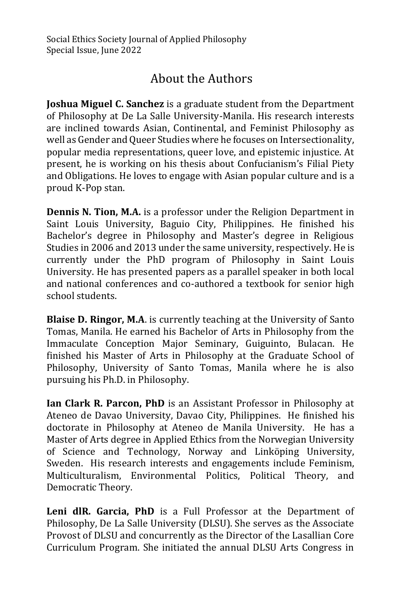## About the Authors

**Joshua Miguel C. Sanchez** is a graduate student from the Department of Philosophy at De La Salle University-Manila. His research interests are inclined towards Asian, Continental, and Feminist Philosophy as well as Gender and Queer Studies where he focuses on Intersectionality, popular media representations, queer love, and epistemic injustice. At present, he is working on his thesis about Confucianism's Filial Piety and Obligations. He loves to engage with Asian popular culture and is a proud K-Pop stan.

**Dennis N. Tion, M.A.** is a professor under the Religion Department in Saint Louis University, Baguio City, Philippines. He finished his Bachelor's degree in Philosophy and Master's degree in Religious Studies in 2006 and 2013 under the same university, respectively. He is currently under the PhD program of Philosophy in Saint Louis University. He has presented papers as a parallel speaker in both local and national conferences and co-authored a textbook for senior high school students.

**Blaise D. Ringor, M.A**. is currently teaching at the University of Santo Tomas, Manila. He earned his Bachelor of Arts in Philosophy from the Immaculate Conception Major Seminary, Guiguinto, Bulacan. He finished his Master of Arts in Philosophy at the Graduate School of Philosophy, University of Santo Tomas, Manila where he is also pursuing his Ph.D. in Philosophy.

**Ian Clark R. Parcon, PhD** is an Assistant Professor in Philosophy at Ateneo de Davao University, Davao City, Philippines. He finished his doctorate in Philosophy at Ateneo de Manila University. He has a Master of Arts degree in Applied Ethics from the Norwegian University of Science and Technology, Norway and Linköping University, Sweden. His research interests and engagements include Feminism, Multiculturalism, Environmental Politics, Political Theory, and Democratic Theory.

**Leni dlR. Garcia, PhD** is a Full Professor at the Department of Philosophy, De La Salle University (DLSU). She serves as the Associate Provost of DLSU and concurrently as the Director of the Lasallian Core Curriculum Program. She initiated the annual DLSU Arts Congress in